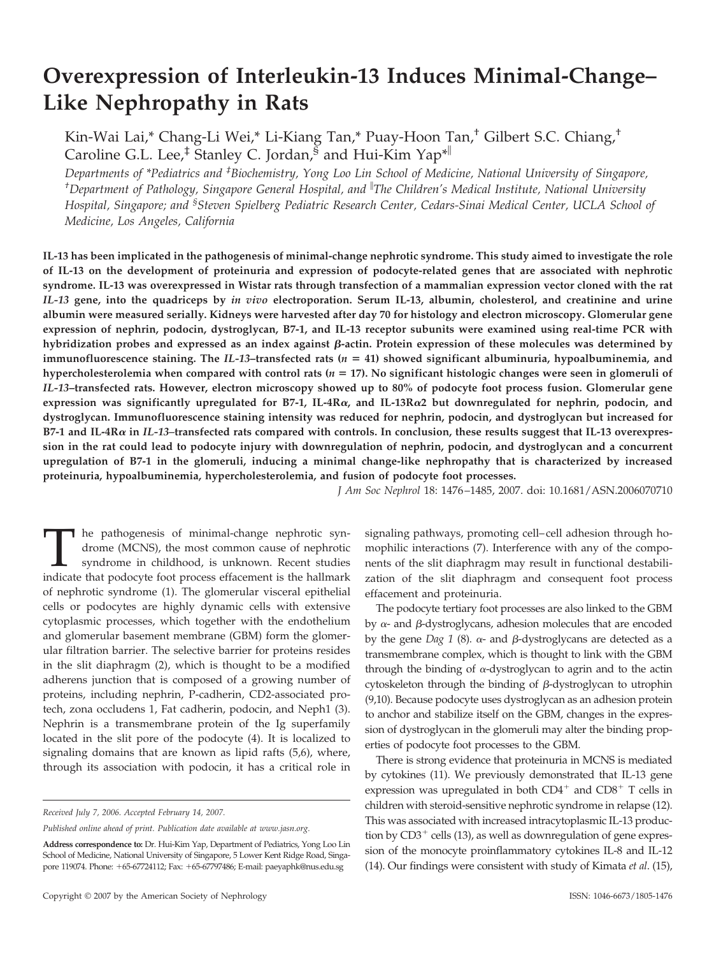# **Overexpression of Interleukin-13 Induces Minimal-Change– Like Nephropathy in Rats**

Kin-Wai Lai,\* Chang-Li Wei,\* Li-Kiang Tan,\* Puay-Hoon Tan,† Gilbert S.C. Chiang,† Caroline G.L. Lee,<sup>‡</sup> Stanley C. Jordan,  $\overline{\mathcal{S}}$  and Hui-Kim Yap<sup>\*||</sup>

*Departments of \*Pediatrics and ‡ Biochemistry, Yong Loo Lin School of Medicine, National University of Singapore, † Department of Pathology, Singapore General Hospital, and The Children's Medical Institute, National University Hospital, Singapore; and § Steven Spielberg Pediatric Research Center, Cedars-Sinai Medical Center, UCLA School of Medicine, Los Angeles, California*

**IL-13 has been implicated in the pathogenesis of minimal-change nephrotic syndrome. This study aimed to investigate the role of IL-13 on the development of proteinuria and expression of podocyte-related genes that are associated with nephrotic syndrome. IL-13 was overexpressed in Wistar rats through transfection of a mammalian expression vector cloned with the rat** *IL-13* **gene, into the quadriceps by** *in vivo* **electroporation. Serum IL-13, albumin, cholesterol, and creatinine and urine albumin were measured serially. Kidneys were harvested after day 70 for histology and electron microscopy. Glomerular gene expression of nephrin, podocin, dystroglycan, B7-1, and IL-13 receptor subunits were examined using real-time PCR with** hybridization probes and expressed as an index against  $\beta$ -actin. Protein expression of these molecules was determined by **immunofluorescence staining. The** *IL-13***–transfected rats (***n* - **41) showed significant albuminuria, hypoalbuminemia, and hypercholesterolemia when compared with control rats (***n* - **17). No significant histologic changes were seen in glomeruli of** *IL-13***–transfected rats. However, electron microscopy showed up to 80% of podocyte foot process fusion. Glomerular gene expression was significantly upregulated for B7-1, IL-4R, and IL-13R2 but downregulated for nephrin, podocin, and dystroglycan. Immunofluorescence staining intensity was reduced for nephrin, podocin, and dystroglycan but increased for B7-1 and IL-4R in** *IL-13–***transfected rats compared with controls. In conclusion, these results suggest that IL-13 overexpression in the rat could lead to podocyte injury with downregulation of nephrin, podocin, and dystroglycan and a concurrent upregulation of B7-1 in the glomeruli, inducing a minimal change-like nephropathy that is characterized by increased proteinuria, hypoalbuminemia, hypercholesterolemia, and fusion of podocyte foot processes.**

*J Am Soc Nephrol* 18: 1476 –1485, 2007. doi: 10.1681/ASN.2006070710

The pathogenesis of minimal-change nephrotic syn-<br>drome (MCNS), the most common cause of nephrotic<br>syndrome in childhood, is unknown. Recent studies<br>indicate that podocyte foot process effacement is the hallmark drome (MCNS), the most common cause of nephrotic syndrome in childhood, is unknown. Recent studies of nephrotic syndrome (1). The glomerular visceral epithelial cells or podocytes are highly dynamic cells with extensive cytoplasmic processes, which together with the endothelium and glomerular basement membrane (GBM) form the glomerular filtration barrier. The selective barrier for proteins resides in the slit diaphragm (2), which is thought to be a modified adherens junction that is composed of a growing number of proteins, including nephrin, P-cadherin, CD2-associated protech, zona occludens 1, Fat cadherin, podocin, and Neph1 (3). Nephrin is a transmembrane protein of the Ig superfamily located in the slit pore of the podocyte (4). It is localized to signaling domains that are known as lipid rafts (5,6), where, through its association with podocin, it has a critical role in

*Received July 7, 2006. Accepted February 14, 2007.*

signaling pathways, promoting cell– cell adhesion through homophilic interactions (7). Interference with any of the components of the slit diaphragm may result in functional destabilization of the slit diaphragm and consequent foot process effacement and proteinuria.

The podocyte tertiary foot processes are also linked to the GBM by  $\alpha$ - and  $\beta$ -dystroglycans, adhesion molecules that are encoded by the gene *Dag 1* (8).  $\alpha$ - and  $\beta$ -dystroglycans are detected as a transmembrane complex, which is thought to link with the GBM through the binding of  $\alpha$ -dystroglycan to agrin and to the actin cytoskeleton through the binding of  $\beta$ -dystroglycan to utrophin (9,10). Because podocyte uses dystroglycan as an adhesion protein to anchor and stabilize itself on the GBM, changes in the expression of dystroglycan in the glomeruli may alter the binding properties of podocyte foot processes to the GBM.

There is strong evidence that proteinuria in MCNS is mediated by cytokines (11). We previously demonstrated that IL-13 gene expression was upregulated in both  $CD4^+$  and  $CD8^+$  T cells in children with steroid-sensitive nephrotic syndrome in relapse (12). This was associated with increased intracytoplasmic IL-13 production by  $CD3^+$  cells (13), as well as downregulation of gene expression of the monocyte proinflammatory cytokines IL-8 and IL-12 (14). Our findings were consistent with study of Kimata *et al*. (15),

*Published online ahead of print. Publication date available at www.jasn.org.*

**Address correspondence to:** Dr. Hui-Kim Yap, Department of Pediatrics, Yong Loo Lin School of Medicine, National University of Singapore, 5 Lower Kent Ridge Road, Singapore 119074. Phone: +65-67724112; Fax: +65-67797486; E-mail: paeyaphk@nus.edu.sg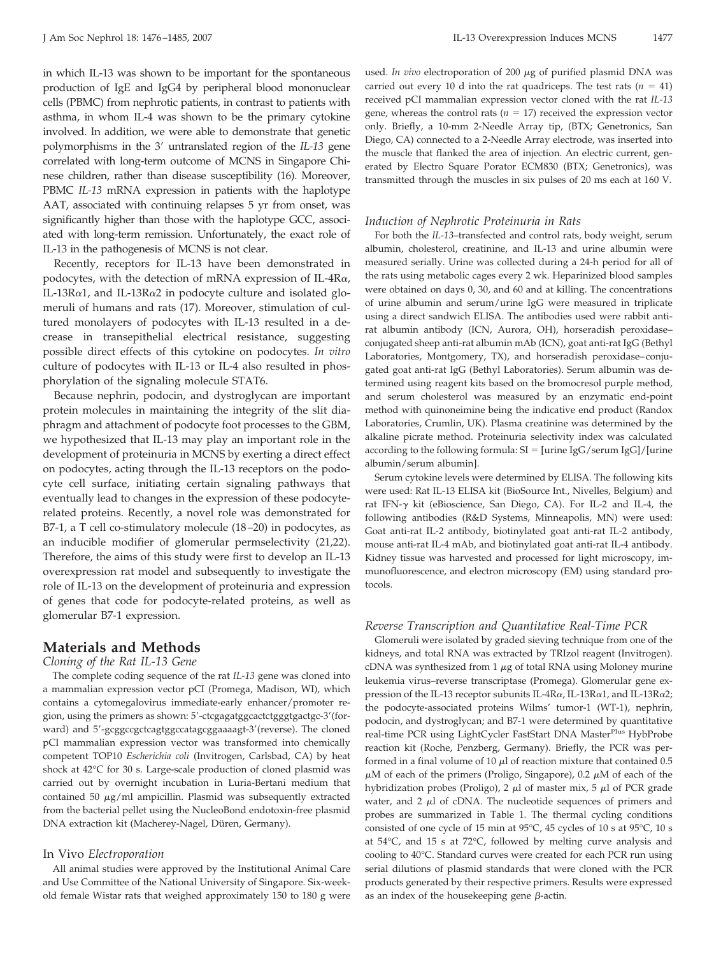in which IL-13 was shown to be important for the spontaneous production of IgE and IgG4 by peripheral blood mononuclear cells (PBMC) from nephrotic patients, in contrast to patients with asthma, in whom IL-4 was shown to be the primary cytokine involved. In addition, we were able to demonstrate that genetic polymorphisms in the 3' untranslated region of the *IL-13* gene correlated with long-term outcome of MCNS in Singapore Chinese children, rather than disease susceptibility (16). Moreover, PBMC *IL-13* mRNA expression in patients with the haplotype AAT, associated with continuing relapses 5 yr from onset, was significantly higher than those with the haplotype GCC, associated with long-term remission. Unfortunately, the exact role of IL-13 in the pathogenesis of MCNS is not clear.

Recently, receptors for IL-13 have been demonstrated in podocytes, with the detection of mRNA expression of IL-4R $\alpha$ , IL-13R $\alpha$ 1, and IL-13R $\alpha$ 2 in podocyte culture and isolated glomeruli of humans and rats (17). Moreover, stimulation of cultured monolayers of podocytes with IL-13 resulted in a decrease in transepithelial electrical resistance, suggesting possible direct effects of this cytokine on podocytes. *In vitro* culture of podocytes with IL-13 or IL-4 also resulted in phosphorylation of the signaling molecule STAT6.

Because nephrin, podocin, and dystroglycan are important protein molecules in maintaining the integrity of the slit diaphragm and attachment of podocyte foot processes to the GBM, we hypothesized that IL-13 may play an important role in the development of proteinuria in MCNS by exerting a direct effect on podocytes, acting through the IL-13 receptors on the podocyte cell surface, initiating certain signaling pathways that eventually lead to changes in the expression of these podocyterelated proteins. Recently, a novel role was demonstrated for B7-1, a T cell co-stimulatory molecule (18 –20) in podocytes, as an inducible modifier of glomerular permselectivity (21,22). Therefore, the aims of this study were first to develop an IL-13 overexpression rat model and subsequently to investigate the role of IL-13 on the development of proteinuria and expression of genes that code for podocyte-related proteins, as well as glomerular B7-1 expression.

## **Materials and Methods**

#### *Cloning of the Rat IL-13 Gene*

The complete coding sequence of the rat *IL-13* gene was cloned into a mammalian expression vector pCI (Promega, Madison, WI), which contains a cytomegalovirus immediate-early enhancer/promoter region, using the primers as shown: 5'-ctcgagatggcactctgggtgactgc-3'(forward) and 5'-gcggccgctcagtggccatagcggaaaagt-3'(reverse). The cloned pCI mammalian expression vector was transformed into chemically competent TOP10 *Escherichia coli* (Invitrogen, Carlsbad, CA) by heat shock at 42°C for 30 s. Large-scale production of cloned plasmid was carried out by overnight incubation in Luria-Bertani medium that contained 50  $\mu$ g/ml ampicillin. Plasmid was subsequently extracted from the bacterial pellet using the NucleoBond endotoxin-free plasmid DNA extraction kit (Macherey-Nagel, Düren, Germany).

#### In Vivo *Electroporation*

All animal studies were approved by the Institutional Animal Care and Use Committee of the National University of Singapore. Six-weekold female Wistar rats that weighed approximately 150 to 180 g were used. *In vivo* electroporation of 200  $\mu$ g of purified plasmid DNA was carried out every 10 d into the rat quadriceps. The test rats  $(n = 41)$ received pCI mammalian expression vector cloned with the rat *IL-13* gene, whereas the control rats ( $n = 17$ ) received the expression vector only. Briefly, a 10-mm 2-Needle Array tip, (BTX; Genetronics, San Diego, CA) connected to a 2-Needle Array electrode, was inserted into the muscle that flanked the area of injection. An electric current, generated by Electro Square Porator ECM830 (BTX; Genetronics), was transmitted through the muscles in six pulses of 20 ms each at 160 V.

#### *Induction of Nephrotic Proteinuria in Rats*

For both the *IL-13*–transfected and control rats, body weight, serum albumin, cholesterol, creatinine, and IL-13 and urine albumin were measured serially. Urine was collected during a 24-h period for all of the rats using metabolic cages every 2 wk. Heparinized blood samples were obtained on days 0, 30, and 60 and at killing. The concentrations of urine albumin and serum/urine IgG were measured in triplicate using a direct sandwich ELISA. The antibodies used were rabbit antirat albumin antibody (ICN, Aurora, OH), horseradish peroxidase– conjugated sheep anti-rat albumin mAb (ICN), goat anti-rat IgG (Bethyl Laboratories, Montgomery, TX), and horseradish peroxidase–conjugated goat anti-rat IgG (Bethyl Laboratories). Serum albumin was determined using reagent kits based on the bromocresol purple method, and serum cholesterol was measured by an enzymatic end-point method with quinoneimine being the indicative end product (Randox Laboratories, Crumlin, UK). Plasma creatinine was determined by the alkaline picrate method. Proteinuria selectivity index was calculated according to the following formula:  $SI = [urine IgG/serum IgG]/[urine$ albumin/serum albumin].

Serum cytokine levels were determined by ELISA. The following kits were used: Rat IL-13 ELISA kit (BioSource Int., Nivelles, Belgium) and rat IFN- $\gamma$  kit (eBioscience, San Diego, CA). For IL-2 and IL-4, the following antibodies (R&D Systems, Minneapolis, MN) were used: Goat anti-rat IL-2 antibody, biotinylated goat anti-rat IL-2 antibody, mouse anti-rat IL-4 mAb, and biotinylated goat anti-rat IL-4 antibody. Kidney tissue was harvested and processed for light microscopy, immunofluorescence, and electron microscopy (EM) using standard protocols.

#### *Reverse Transcription and Quantitative Real-Time PCR*

Glomeruli were isolated by graded sieving technique from one of the kidneys, and total RNA was extracted by TRIzol reagent (Invitrogen). cDNA was synthesized from 1  $\mu$ g of total RNA using Moloney murine leukemia virus–reverse transcriptase (Promega). Glomerular gene expression of the IL-13 receptor subunits IL-4R $\alpha$ , IL-13R $\alpha$ 1, and IL-13R $\alpha$ 2; the podocyte-associated proteins Wilms' tumor-1 (WT-1), nephrin, podocin, and dystroglycan; and B7-1 were determined by quantitative real-time PCR using LightCycler FastStart DNA Master<sup>Plus</sup> HybProbe reaction kit (Roche, Penzberg, Germany). Briefly, the PCR was performed in a final volume of 10  $\mu$ l of reaction mixture that contained 0.5  $\mu$ M of each of the primers (Proligo, Singapore), 0.2  $\mu$ M of each of the hybridization probes (Proligo), 2  $\mu$ l of master mix, 5  $\mu$ l of PCR grade water, and  $2 \mu l$  of cDNA. The nucleotide sequences of primers and probes are summarized in Table 1. The thermal cycling conditions consisted of one cycle of 15 min at 95°C, 45 cycles of 10 s at 95°C, 10 s at 54°C, and 15 s at 72°C, followed by melting curve analysis and cooling to 40°C. Standard curves were created for each PCR run using serial dilutions of plasmid standards that were cloned with the PCR products generated by their respective primers. Results were expressed as an index of the housekeeping gene  $\beta$ -actin.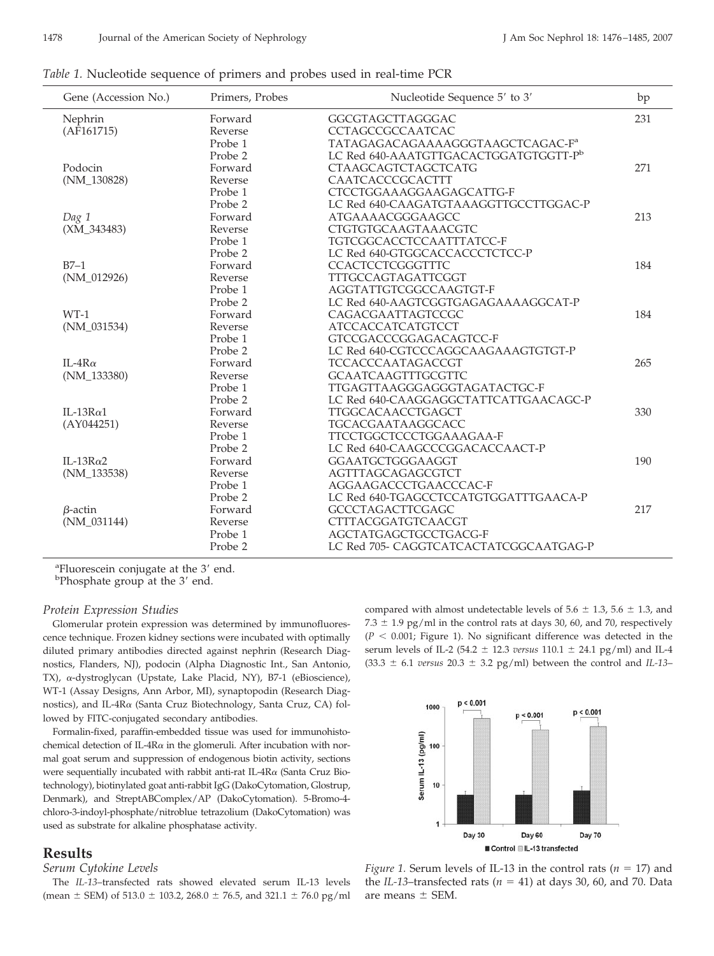| Gene (Accession No.) | Primers, Probes | Nucleotide Sequence 5' to 3'                 | bp  |
|----------------------|-----------------|----------------------------------------------|-----|
| Nephrin              | Forward         | GGCGTAGCTTAGGGAC                             | 231 |
| (AF161715)           | Reverse         | <b>CCTAGCCGCCAATCAC</b>                      |     |
|                      | Probe 1         | TATAGAGACAGAAAAGGGTAAGCTCAGAC-F <sup>a</sup> |     |
|                      | Probe 2         | LC Red 640-AAATGTTGACACTGGATGTGGTT-Pb        |     |
| Podocin              | Forward         | <b>CTAAGCAGTCTAGCTCATG</b>                   | 271 |
| $(NM_130828)$        | Reverse         | CAATCACCCGCACTTT                             |     |
|                      | Probe 1         | CTCCTGGAAAGGAAGAGCATTG-F                     |     |
|                      | Probe 2         | LC Red 640-CAAGATGTAAAGGTTGCCTTGGAC-P        |     |
| Dag 1                | Forward         | ATGAAAACGGGAAGCC                             | 213 |
| $(XM_343483)$        | Reverse         | CTGTGTGCAAGTAAACGTC                          |     |
|                      | Probe 1         | TGTCGGCACCTCCAATTTATCC-F                     |     |
|                      | Probe 2         | LC Red 640-GTGGCACCACCCTCTCC-P               |     |
| $B7-1$               | Forward         | <b>CCACTCCTCGGGTTTC</b>                      | 184 |
| $(NM_012926)$        | Reverse         | TTTGCCAGTAGATTCGGT                           |     |
|                      | Probe 1         | AGGTATTGTCGGCCAAGTGT-F                       |     |
|                      | Probe 2         | LC Red 640-AAGTCGGTGAGAGAAAAGGCAT-P          |     |
| $WT-1$               | Forward         | CAGACGAATTAGTCCGC                            | 184 |
| $(NM_031534)$        | Reverse         | <b>ATCCACCATCATGTCCT</b>                     |     |
|                      | Probe 1         | GTCCGACCCGGAGACAGTCC-F                       |     |
|                      | Probe 2         | LC Red 640-CGTCCCAGGCAAGAAAGTGTGT-P          |     |
| $IL-4R\alpha$        | Forward         | TCCACCCAATAGACCGT                            | 265 |
| $(NM_133380)$        | Reverse         | <b>GCAATCAAGTTTGCGTTC</b>                    |     |
|                      | Probe 1         | TTGAGTTAAGGGAGGGTAGATACTGC-F                 |     |
|                      | Probe 2         | LC Red 640-CAAGGAGGCTATTCATTGAACAGC-P        |     |
| IL-13 $R\alpha$ 1    | Forward         | TTGGCACAACCTGAGCT                            | 330 |
| (AY044251)           | Reverse         | TGCACGAATAAGGCACC                            |     |
|                      | Probe 1         | TTCCTGGCTCCCTGGAAAGAA-F                      |     |
|                      | Probe 2         | LC Red 640-CAAGCCCGGACACCAACT-P              |     |
| IL-13 $R\alpha$ 2    | Forward         | GGAATGCTGGGAAGGT                             | 190 |
| $(NM_133538)$        | Reverse         | AGTTTAGCAGAGCGTCT                            |     |
|                      | Probe 1         | AGGAAGACCCTGAACCCAC-F                        |     |
|                      | Probe 2         | LC Red 640-TGAGCCTCCATGTGGATTTGAACA-P        |     |
| $\beta$ -actin       | Forward         | <b>GCCCTAGACTTCGAGC</b>                      | 217 |
| $(NM_031144)$        | Reverse         | CTTTACGGATGTCAACGT                           |     |
|                      | Probe 1         | AGCTATGAGCTGCCTGACG-F                        |     |
|                      | Probe 2         | LC Red 705- CAGGTCATCACTATCGGCAATGAG-P       |     |

*Table 1.* Nucleotide sequence of primers and probes used in real-time PCR

<sup>a</sup> Fluorescein conjugate at the  $3'$  end. Phosphate group at the 3' end.

*Protein Expression Studies*

Glomerular protein expression was determined by immunofluorescence technique. Frozen kidney sections were incubated with optimally diluted primary antibodies directed against nephrin (Research Diagnostics, Flanders, NJ), podocin (Alpha Diagnostic Int., San Antonio, TX),  $\alpha$ -dystroglycan (Upstate, Lake Placid, NY), B7-1 (eBioscience), WT-1 (Assay Designs, Ann Arbor, MI), synaptopodin (Research Diagnostics), and IL-4R $\alpha$  (Santa Cruz Biotechnology, Santa Cruz, CA) followed by FITC-conjugated secondary antibodies.

Formalin-fixed, paraffin-embedded tissue was used for immunohistochemical detection of IL-4R $\alpha$  in the glomeruli. After incubation with normal goat serum and suppression of endogenous biotin activity, sections were sequentially incubated with rabbit anti-rat IL- $4R\alpha$  (Santa Cruz Biotechnology), biotinylated goat anti-rabbit IgG (DakoCytomation, Glostrup, Denmark), and StreptABComplex/AP (DakoCytomation). 5-Bromo-4 chloro-3-indoyl-phosphate/nitroblue tetrazolium (DakoCytomation) was used as substrate for alkaline phosphatase activity.

## **Results**

## *Serum Cytokine Levels*

The *IL-13*–transfected rats showed elevated serum IL-13 levels (mean  $\pm$  SEM) of 513.0  $\pm$  103.2, 268.0  $\pm$  76.5, and 321.1  $\pm$  76.0 pg/ml compared with almost undetectable levels of  $5.6 \pm 1.3$ ,  $5.6 \pm 1.3$ , and  $7.3 \pm 1.9$  pg/ml in the control rats at days 30, 60, and 70, respectively  $(P < 0.001$ ; Figure 1). No significant difference was detected in the serum levels of IL-2 (54.2  $\pm$  12.3 *versus* 110.1  $\pm$  24.1 pg/ml) and IL-4  $(33.3 \pm 6.1$  *versus* 20.3  $\pm$  3.2 pg/ml) between the control and *IL-13*–



*Figure 1.* Serum levels of IL-13 in the control rats ( $n = 17$ ) and the *IL-13*–transfected rats ( $n = 41$ ) at days 30, 60, and 70. Data are means  $\pm$  SEM.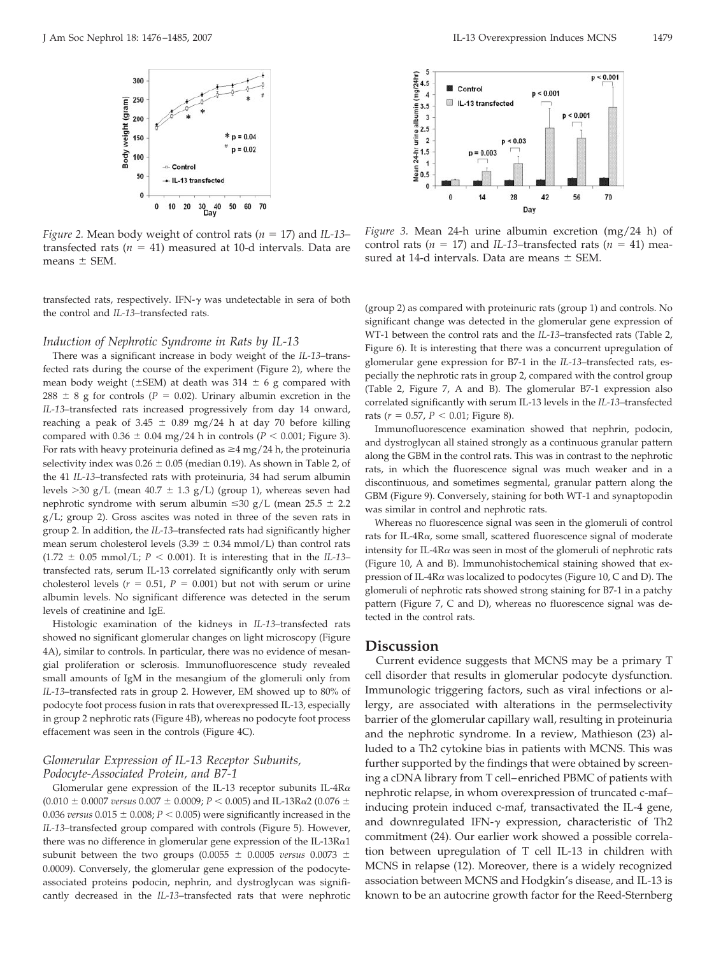

*Figure 2.* Mean body weight of control rats ( $n = 17$ ) and *IL-13*– transfected rats  $(n = 41)$  measured at 10-d intervals. Data are means  $\pm$  SEM.

transfected rats, respectively. IFN- $\gamma$  was undetectable in sera of both the control and *IL-13*–transfected rats.

#### *Induction of Nephrotic Syndrome in Rats by IL-13*

There was a significant increase in body weight of the *IL-13*–transfected rats during the course of the experiment (Figure 2), where the mean body weight ( $\pm$ SEM) at death was 314  $\pm$  6 g compared with 288  $\pm$  8 g for controls ( $P = 0.02$ ). Urinary albumin excretion in the *IL-13*–transfected rats increased progressively from day 14 onward, reaching a peak of 3.45  $\pm$  0.89 mg/24 h at day 70 before killing compared with  $0.36 \pm 0.04$  mg/24 h in controls ( $P < 0.001$ ; Figure 3). For rats with heavy proteinuria defined as  $\geq 4$  mg/24 h, the proteinuria selectivity index was  $0.26 \pm 0.05$  (median 0.19). As shown in Table 2, of the 41 *IL-13*–transfected rats with proteinuria, 34 had serum albumin levels  $>$ 30 g/L (mean 40.7  $\pm$  1.3 g/L) (group 1), whereas seven had nephrotic syndrome with serum albumin  $\leq 30$  g/L (mean 25.5  $\pm$  2.2 g/L; group 2). Gross ascites was noted in three of the seven rats in group 2. In addition, the *IL-13*–transfected rats had significantly higher mean serum cholesterol levels (3.39  $\pm$  0.34 mmol/L) than control rats  $(1.72 \pm 0.05 \text{ mmol/L}; P < 0.001)$ . It is interesting that in the *IL-13*– transfected rats, serum IL-13 correlated significantly only with serum cholesterol levels ( $r = 0.51$ ,  $P = 0.001$ ) but not with serum or urine albumin levels. No significant difference was detected in the serum levels of creatinine and IgE.

Histologic examination of the kidneys in *IL-13*–transfected rats showed no significant glomerular changes on light microscopy (Figure 4A), similar to controls. In particular, there was no evidence of mesangial proliferation or sclerosis. Immunofluorescence study revealed small amounts of IgM in the mesangium of the glomeruli only from *IL-13*–transfected rats in group 2. However, EM showed up to 80% of podocyte foot process fusion in rats that overexpressed IL-13, especially in group 2 nephrotic rats (Figure 4B), whereas no podocyte foot process effacement was seen in the controls (Figure 4C).

#### *Glomerular Expression of IL-13 Receptor Subunits, Podocyte-Associated Protein, and B7-1*

Glomerular gene expression of the IL-13 receptor subunits IL-4R $\alpha$  $(0.010 \pm 0.0007$  *versus*  $0.007 \pm 0.0009$ ;  $P < 0.005$ ) and IL-13R $\alpha$ 2 (0.076  $\pm$ 0.036 *versus*  $0.015 \pm 0.008$ ;  $P < 0.005$ ) were significantly increased in the *IL-13*–transfected group compared with controls (Figure 5). However, there was no difference in glomerular gene expression of the IL-13R $\alpha$ 1 subunit between the two groups (0.0055  $\pm$  0.0005 *versus* 0.0073  $\pm$ 0.0009). Conversely, the glomerular gene expression of the podocyteassociated proteins podocin, nephrin, and dystroglycan was significantly decreased in the *IL-13*–transfected rats that were nephrotic



*Figure 3.* Mean 24-h urine albumin excretion (mg/24 h) of control rats ( $n = 17$ ) and *IL-13*–transfected rats ( $n = 41$ ) measured at 14-d intervals. Data are means  $\pm$  SEM.

(group 2) as compared with proteinuric rats (group 1) and controls. No significant change was detected in the glomerular gene expression of WT-1 between the control rats and the *IL-13*–transfected rats (Table 2, Figure 6). It is interesting that there was a concurrent upregulation of glomerular gene expression for B7-1 in the *IL-13*–transfected rats, especially the nephrotic rats in group 2, compared with the control group (Table 2, Figure 7, A and B). The glomerular B7-1 expression also correlated significantly with serum IL-13 levels in the *IL-13*–transfected rats ( $r = 0.57$ ,  $P < 0.01$ ; Figure 8).

Immunofluorescence examination showed that nephrin, podocin, and dystroglycan all stained strongly as a continuous granular pattern along the GBM in the control rats. This was in contrast to the nephrotic rats, in which the fluorescence signal was much weaker and in a discontinuous, and sometimes segmental, granular pattern along the GBM (Figure 9). Conversely, staining for both WT-1 and synaptopodin was similar in control and nephrotic rats.

Whereas no fluorescence signal was seen in the glomeruli of control rats for IL-4R $\alpha$ , some small, scattered fluorescence signal of moderate intensity for IL-4R $\alpha$  was seen in most of the glomeruli of nephrotic rats (Figure 10, A and B). Immunohistochemical staining showed that expression of IL-4R $\alpha$  was localized to podocytes (Figure 10, C and D). The glomeruli of nephrotic rats showed strong staining for B7-1 in a patchy pattern (Figure 7, C and D), whereas no fluorescence signal was detected in the control rats.

## **Discussion**

Current evidence suggests that MCNS may be a primary T cell disorder that results in glomerular podocyte dysfunction. Immunologic triggering factors, such as viral infections or allergy, are associated with alterations in the permselectivity barrier of the glomerular capillary wall, resulting in proteinuria and the nephrotic syndrome. In a review, Mathieson (23) alluded to a Th2 cytokine bias in patients with MCNS. This was further supported by the findings that were obtained by screening a cDNA library from T cell– enriched PBMC of patients with nephrotic relapse, in whom overexpression of truncated c-maf– inducing protein induced c-maf, transactivated the IL-4 gene, and downregulated IFN- $\gamma$  expression, characteristic of Th2 commitment (24). Our earlier work showed a possible correlation between upregulation of T cell IL-13 in children with MCNS in relapse (12). Moreover, there is a widely recognized association between MCNS and Hodgkin's disease, and IL-13 is known to be an autocrine growth factor for the Reed-Sternberg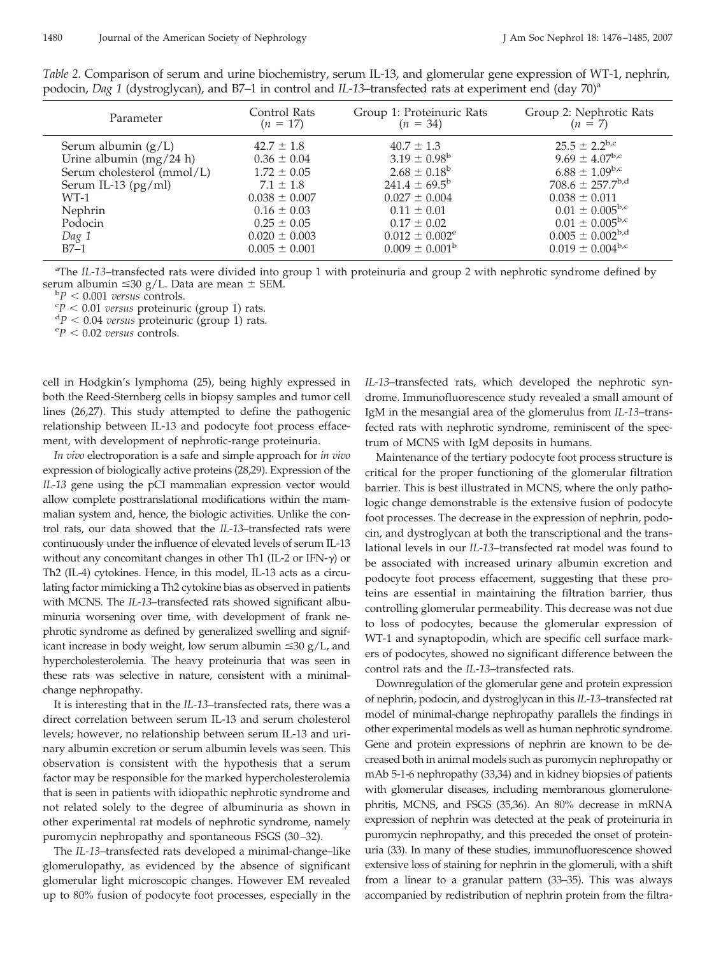| Parameter                  | Control Rats      | Group 1: Proteinuric Rats      | Group 2: Nephrotic Rats          |
|----------------------------|-------------------|--------------------------------|----------------------------------|
|                            | $(n = 17)$        | $(n = 34)$                     | $(n = 7)$                        |
| Serum albumin $(g/L)$      | $42.7 \pm 1.8$    | $40.7 \pm 1.3$                 | $25.5 + 2.2^{b,c}$               |
| Urine albumin $(mg/24 h)$  | $0.36 \pm 0.04$   | $3.19 \pm 0.98^{\rm b}$        | $9.69 \pm 4.07^{\rm b,c}$        |
| Serum cholesterol (mmol/L) | $1.72 \pm 0.05$   | $2.68 \pm 0.18^{\rm b}$        | $6.88 \pm 1.09$ b,c              |
| Serum IL-13 $(pg/ml)$      | $7.1 \pm 1.8$     | $241.4 \pm 69.5^{\rm b}$       | $708.6 \pm 257.7^{\mathrm{b,d}}$ |
| $WT-1$                     | $0.038 \pm 0.007$ | $0.027 \pm 0.004$              | $0.038 \pm 0.011$                |
| Nephrin                    | $0.16 \pm 0.03$   | $0.11 \pm 0.01$                | $0.01 \pm 0.005^{b,c}$           |
| Podocin                    | $0.25 \pm 0.05$   | $0.17 \pm 0.02$                | $0.01 \pm 0.005^{b,c}$           |
| Dag 1                      | $0.020 \pm 0.003$ | $0.012 \pm 0.002$ <sup>e</sup> | $0.005 \pm 0.002^{\mathrm{b,d}}$ |
| $BZ-1$                     | $0.005 \pm 0.001$ | $0.009 \pm 0.001^{\rm b}$      | $0.019 \pm 0.004^{b,c}$          |

*Table 2.* Comparison of serum and urine biochemistry, serum IL-13, and glomerular gene expression of WT-1, nephrin, podocin, *Dag 1* (dystroglycan), and B7–1 in control and *IL-13*–transfected rats at experiment end (day 70)<sup>a</sup>

<sup>a</sup>The *IL-13*–transfected rats were divided into group 1 with proteinuria and group 2 with nephrotic syndrome defined by serum albumin  $\leq 30$  g/L. Data are mean  $\pm$  SEM.

 ${}^{b}P$  < 0.001 *versus* controls.

 $\degree P$  < 0.01 *versus* proteinuric (group 1) rats.

 ${}^{dp}$  < 0.04 *versus* proteinuric (group 1) rats.

 $P$  < 0.02 *versus* controls.

cell in Hodgkin's lymphoma (25), being highly expressed in both the Reed-Sternberg cells in biopsy samples and tumor cell lines (26,27). This study attempted to define the pathogenic relationship between IL-13 and podocyte foot process effacement, with development of nephrotic-range proteinuria.

*In vivo* electroporation is a safe and simple approach for *in vivo* expression of biologically active proteins (28,29). Expression of the *IL-13* gene using the pCI mammalian expression vector would allow complete posttranslational modifications within the mammalian system and, hence, the biologic activities. Unlike the control rats, our data showed that the *IL-13*–transfected rats were continuously under the influence of elevated levels of serum IL-13 without any concomitant changes in other Th1 (IL-2 or IFN- $\gamma$ ) or Th2 (IL-4) cytokines. Hence, in this model, IL-13 acts as a circulating factor mimicking a Th2 cytokine bias as observed in patients with MCNS. The *IL-13*–transfected rats showed significant albuminuria worsening over time, with development of frank nephrotic syndrome as defined by generalized swelling and significant increase in body weight, low serum albumin  $\leq 30$  g/L, and hypercholesterolemia. The heavy proteinuria that was seen in these rats was selective in nature, consistent with a minimalchange nephropathy.

It is interesting that in the *IL-13*–transfected rats, there was a direct correlation between serum IL-13 and serum cholesterol levels; however, no relationship between serum IL-13 and urinary albumin excretion or serum albumin levels was seen. This observation is consistent with the hypothesis that a serum factor may be responsible for the marked hypercholesterolemia that is seen in patients with idiopathic nephrotic syndrome and not related solely to the degree of albuminuria as shown in other experimental rat models of nephrotic syndrome, namely puromycin nephropathy and spontaneous FSGS (30 –32).

The *IL-13*–transfected rats developed a minimal-change–like glomerulopathy, as evidenced by the absence of significant glomerular light microscopic changes. However EM revealed up to 80% fusion of podocyte foot processes, especially in the *IL-13*–transfected rats, which developed the nephrotic syndrome. Immunofluorescence study revealed a small amount of IgM in the mesangial area of the glomerulus from *IL-13*–transfected rats with nephrotic syndrome, reminiscent of the spectrum of MCNS with IgM deposits in humans.

Maintenance of the tertiary podocyte foot process structure is critical for the proper functioning of the glomerular filtration barrier. This is best illustrated in MCNS, where the only pathologic change demonstrable is the extensive fusion of podocyte foot processes. The decrease in the expression of nephrin, podocin, and dystroglycan at both the transcriptional and the translational levels in our *IL-13*–transfected rat model was found to be associated with increased urinary albumin excretion and podocyte foot process effacement, suggesting that these proteins are essential in maintaining the filtration barrier, thus controlling glomerular permeability. This decrease was not due to loss of podocytes, because the glomerular expression of WT-1 and synaptopodin, which are specific cell surface markers of podocytes, showed no significant difference between the control rats and the *IL-13*–transfected rats.

Downregulation of the glomerular gene and protein expression of nephrin, podocin, and dystroglycan in this *IL-13*–transfected rat model of minimal-change nephropathy parallels the findings in other experimental models as well as human nephrotic syndrome. Gene and protein expressions of nephrin are known to be decreased both in animal models such as puromycin nephropathy or mAb 5-1-6 nephropathy (33,34) and in kidney biopsies of patients with glomerular diseases, including membranous glomerulonephritis, MCNS, and FSGS (35,36). An 80% decrease in mRNA expression of nephrin was detected at the peak of proteinuria in puromycin nephropathy, and this preceded the onset of proteinuria (33). In many of these studies, immunofluorescence showed extensive loss of staining for nephrin in the glomeruli, with a shift from a linear to a granular pattern (33–35). This was always accompanied by redistribution of nephrin protein from the filtra-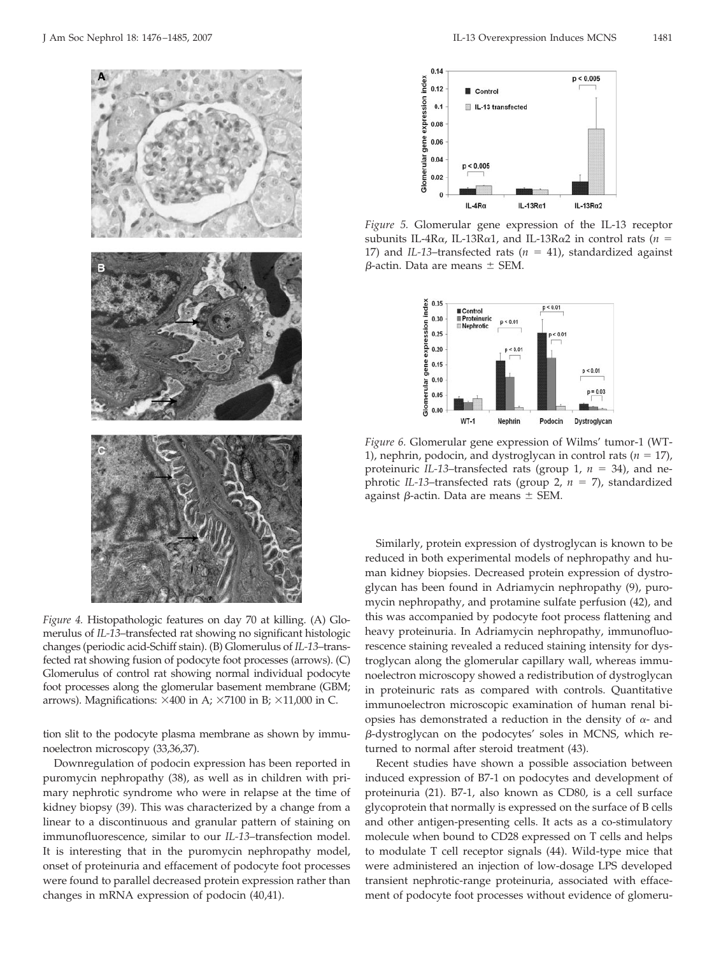

*Figure 4.* Histopathologic features on day 70 at killing. (A) Glomerulus of *IL-13*–transfected rat showing no significant histologic changes (periodic acid-Schiff stain). (B) Glomerulus of *IL-13*–transfected rat showing fusion of podocyte foot processes (arrows). (C) Glomerulus of control rat showing normal individual podocyte foot processes along the glomerular basement membrane (GBM; arrows). Magnifications:  $\times 400$  in A;  $\times 7100$  in B;  $\times 11,000$  in C.

tion slit to the podocyte plasma membrane as shown by immunoelectron microscopy (33,36,37).

Downregulation of podocin expression has been reported in puromycin nephropathy (38), as well as in children with primary nephrotic syndrome who were in relapse at the time of kidney biopsy (39). This was characterized by a change from a linear to a discontinuous and granular pattern of staining on immunofluorescence, similar to our *IL-13*–transfection model. It is interesting that in the puromycin nephropathy model, onset of proteinuria and effacement of podocyte foot processes were found to parallel decreased protein expression rather than changes in mRNA expression of podocin (40,41).



*Figure 5.* Glomerular gene expression of the IL-13 receptor subunits IL-4R $\alpha$ , IL-13R $\alpha$ 1, and IL-13R $\alpha$ 2 in control rats (*n* = 17) and *IL-13*–transfected rats ( $n = 41$ ), standardized against  $\beta$ -actin. Data are means  $\pm$  SEM.



*Figure 6.* Glomerular gene expression of Wilms' tumor-1 (WT-1), nephrin, podocin, and dystroglycan in control rats  $(n = 17)$ , proteinuric *IL-13*–transfected rats (group 1,  $n = 34$ ), and nephrotic *IL-13*–transfected rats (group 2,  $n = 7$ ), standardized against  $\beta$ -actin. Data are means  $\pm$  SEM.

Similarly, protein expression of dystroglycan is known to be reduced in both experimental models of nephropathy and human kidney biopsies. Decreased protein expression of dystroglycan has been found in Adriamycin nephropathy (9), puromycin nephropathy, and protamine sulfate perfusion (42), and this was accompanied by podocyte foot process flattening and heavy proteinuria. In Adriamycin nephropathy, immunofluorescence staining revealed a reduced staining intensity for dystroglycan along the glomerular capillary wall, whereas immunoelectron microscopy showed a redistribution of dystroglycan in proteinuric rats as compared with controls. Quantitative immunoelectron microscopic examination of human renal biopsies has demonstrated a reduction in the density of  $\alpha$ - and --dystroglycan on the podocytes' soles in MCNS, which returned to normal after steroid treatment (43).

Recent studies have shown a possible association between induced expression of B7-1 on podocytes and development of proteinuria (21). B7-1, also known as CD80, is a cell surface glycoprotein that normally is expressed on the surface of B cells and other antigen-presenting cells. It acts as a co-stimulatory molecule when bound to CD28 expressed on T cells and helps to modulate T cell receptor signals (44). Wild-type mice that were administered an injection of low-dosage LPS developed transient nephrotic-range proteinuria, associated with effacement of podocyte foot processes without evidence of glomeru-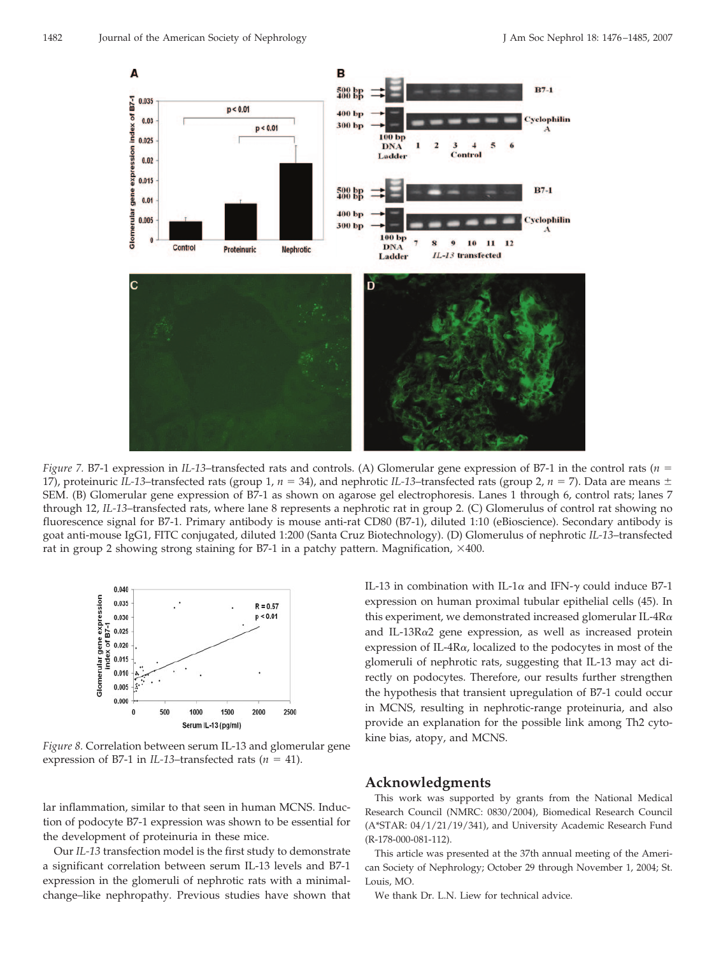

*Figure 7.* B7-1 expression in *IL-13*–transfected rats and controls. (A) Glomerular gene expression of B7-1 in the control rats (*n* 17), proteinuric *IL-13*–transfected rats (group 1,  $n = 34$ ), and nephrotic *IL-13*–transfected rats (group 2,  $n = 7$ ). Data are means  $\pm$ SEM. (B) Glomerular gene expression of B7-1 as shown on agarose gel electrophoresis. Lanes 1 through 6, control rats; lanes 7 through 12, *IL-13*–transfected rats, where lane 8 represents a nephrotic rat in group 2. (C) Glomerulus of control rat showing no fluorescence signal for B7-1. Primary antibody is mouse anti-rat CD80 (B7-1), diluted 1:10 (eBioscience). Secondary antibody is goat anti-mouse IgG1, FITC conjugated, diluted 1:200 (Santa Cruz Biotechnology). (D) Glomerulus of nephrotic *IL-13*–transfected rat in group 2 showing strong staining for B7-1 in a patchy pattern. Magnification,  $\times$ 400.



*Figure 8.* Correlation between serum IL-13 and glomerular gene expression of B7-1 in *IL-13*–transfected rats ( $n = 41$ ).

lar inflammation, similar to that seen in human MCNS. Induction of podocyte B7-1 expression was shown to be essential for the development of proteinuria in these mice.

Our *IL-13* transfection model is the first study to demonstrate a significant correlation between serum IL-13 levels and B7-1 expression in the glomeruli of nephrotic rats with a minimalchange–like nephropathy. Previous studies have shown that IL-13 in combination with IL-1 $\alpha$  and IFN- $\gamma$  could induce B7-1 expression on human proximal tubular epithelial cells (45). In this experiment, we demonstrated increased glomerular IL-4R $\alpha$ and IL-13R $\alpha$ 2 gene expression, as well as increased protein expression of IL-4R $\alpha$ , localized to the podocytes in most of the glomeruli of nephrotic rats, suggesting that IL-13 may act directly on podocytes. Therefore, our results further strengthen the hypothesis that transient upregulation of B7-1 could occur in MCNS, resulting in nephrotic-range proteinuria, and also provide an explanation for the possible link among Th2 cytokine bias, atopy, and MCNS.

# **Acknowledgments**

This work was supported by grants from the National Medical Research Council (NMRC: 0830/2004), Biomedical Research Council (A\*STAR: 04/1/21/19/341), and University Academic Research Fund (R-178-000-081-112).

This article was presented at the 37th annual meeting of the American Society of Nephrology; October 29 through November 1, 2004; St. Louis, MO.

We thank Dr. L.N. Liew for technical advice.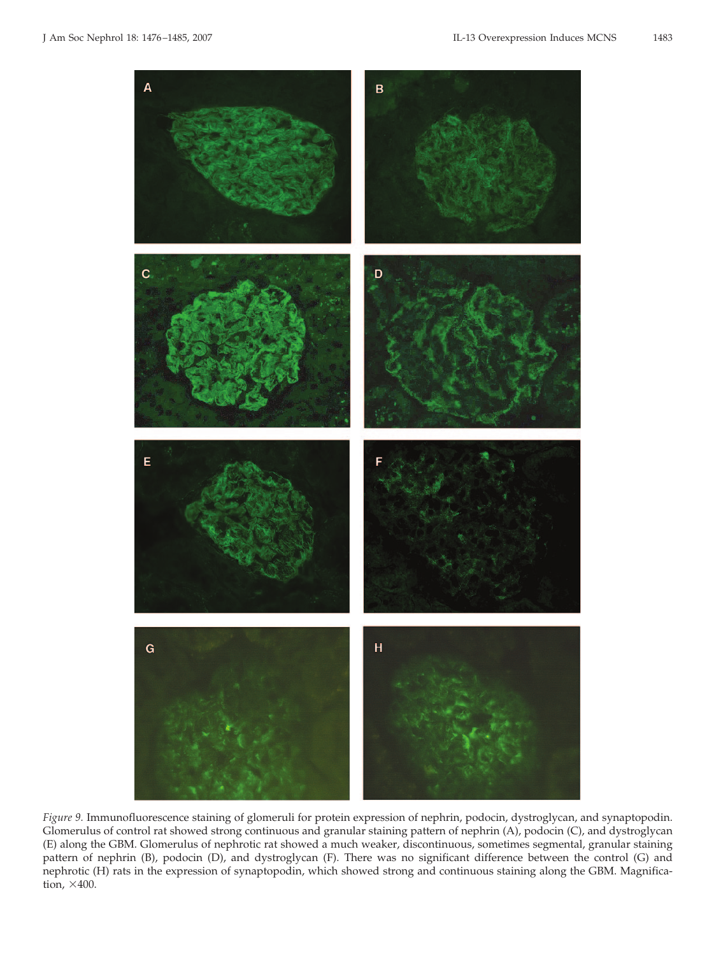

*Figure 9.* Immunofluorescence staining of glomeruli for protein expression of nephrin, podocin, dystroglycan, and synaptopodin. Glomerulus of control rat showed strong continuous and granular staining pattern of nephrin (A), podocin (C), and dystroglycan (E) along the GBM. Glomerulus of nephrotic rat showed a much weaker, discontinuous, sometimes segmental, granular staining pattern of nephrin (B), podocin (D), and dystroglycan (F). There was no significant difference between the control (G) and nephrotic (H) rats in the expression of synaptopodin, which showed strong and continuous staining along the GBM. Magnification,  $\times 400$ .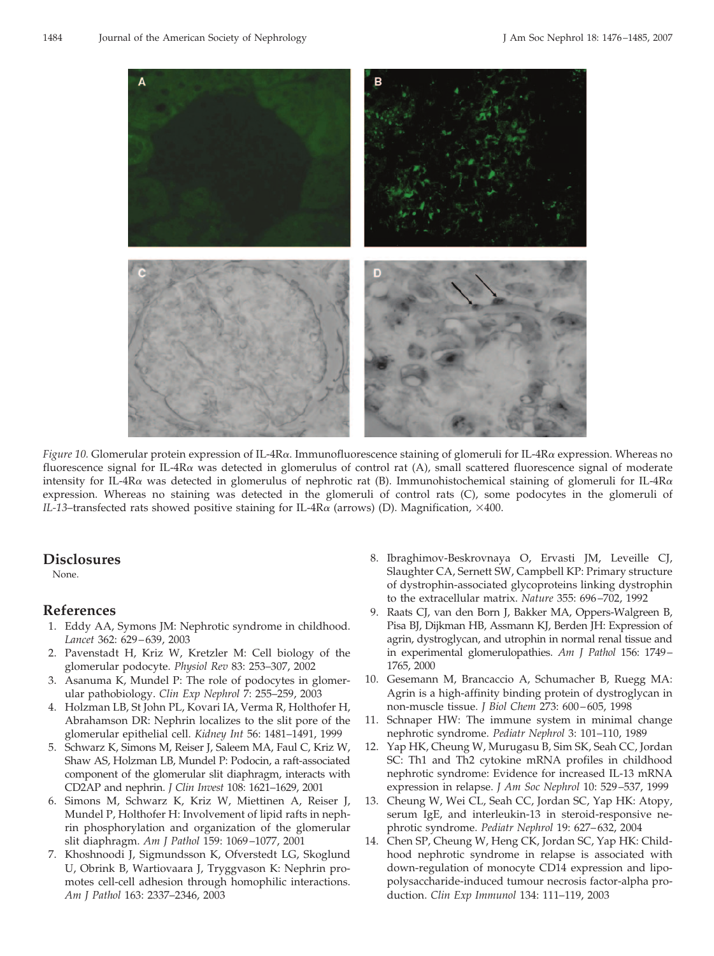

*Figure 10.* Glomerular protein expression of IL-4R $\alpha$ . Immunofluorescence staining of glomeruli for IL-4R $\alpha$  expression. Whereas no fluorescence signal for IL-4R $\alpha$  was detected in glomerulus of control rat (A), small scattered fluorescence signal of moderate intensity for IL-4R $\alpha$  was detected in glomerulus of nephrotic rat (B). Immunohistochemical staining of glomeruli for IL-4R $\alpha$ expression. Whereas no staining was detected in the glomeruli of control rats (C), some podocytes in the glomeruli of *IL-13*–transfected rats showed positive staining for IL-4R $\alpha$  (arrows) (D). Magnification,  $\times$ 400.

## **Disclosures**

None.

## **References**

- 1. Eddy AA, Symons JM: Nephrotic syndrome in childhood. *Lancet* 362: 629 – 639, 2003
- 2. Pavenstadt H, Kriz W, Kretzler M: Cell biology of the glomerular podocyte. *Physiol Rev* 83: 253–307, 2002
- 3. Asanuma K, Mundel P: The role of podocytes in glomerular pathobiology. *Clin Exp Nephrol* 7: 255–259, 2003
- 4. Holzman LB, St John PL, Kovari IA, Verma R, Holthofer H, Abrahamson DR: Nephrin localizes to the slit pore of the glomerular epithelial cell. *Kidney Int* 56: 1481–1491, 1999
- 5. Schwarz K, Simons M, Reiser J, Saleem MA, Faul C, Kriz W, Shaw AS, Holzman LB, Mundel P: Podocin, a raft-associated component of the glomerular slit diaphragm, interacts with CD2AP and nephrin. *J Clin Invest* 108: 1621–1629, 2001
- 6. Simons M, Schwarz K, Kriz W, Miettinen A, Reiser J, Mundel P, Holthofer H: Involvement of lipid rafts in nephrin phosphorylation and organization of the glomerular slit diaphragm. *Am J Pathol* 159: 1069 –1077, 2001
- 7. Khoshnoodi J, Sigmundsson K, Ofverstedt LG, Skoglund U, Obrink B, Wartiovaara J, Tryggvason K: Nephrin promotes cell-cell adhesion through homophilic interactions. *Am J Pathol* 163: 2337–2346, 2003
- 8. Ibraghimov-Beskrovnaya O, Ervasti JM, Leveille CJ, Slaughter CA, Sernett SW, Campbell KP: Primary structure of dystrophin-associated glycoproteins linking dystrophin to the extracellular matrix. *Nature* 355: 696 –702, 1992
- 9. Raats CJ, van den Born J, Bakker MA, Oppers-Walgreen B, Pisa BJ, Dijkman HB, Assmann KJ, Berden JH: Expression of agrin, dystroglycan, and utrophin in normal renal tissue and in experimental glomerulopathies. *Am J Pathol* 156: 1749 – 1765, 2000
- 10. Gesemann M, Brancaccio A, Schumacher B, Ruegg MA: Agrin is a high-affinity binding protein of dystroglycan in non-muscle tissue. *J Biol Chem* 273: 600 – 605, 1998
- 11. Schnaper HW: The immune system in minimal change nephrotic syndrome. *Pediatr Nephrol* 3: 101–110, 1989
- 12. Yap HK, Cheung W, Murugasu B, Sim SK, Seah CC, Jordan SC: Th1 and Th2 cytokine mRNA profiles in childhood nephrotic syndrome: Evidence for increased IL-13 mRNA expression in relapse. *J Am Soc Nephrol* 10: 529 –537, 1999
- 13. Cheung W, Wei CL, Seah CC, Jordan SC, Yap HK: Atopy, serum IgE, and interleukin-13 in steroid-responsive nephrotic syndrome. *Pediatr Nephrol* 19: 627– 632, 2004
- 14. Chen SP, Cheung W, Heng CK, Jordan SC, Yap HK: Childhood nephrotic syndrome in relapse is associated with down-regulation of monocyte CD14 expression and lipopolysaccharide-induced tumour necrosis factor-alpha production. *Clin Exp Immunol* 134: 111–119, 2003